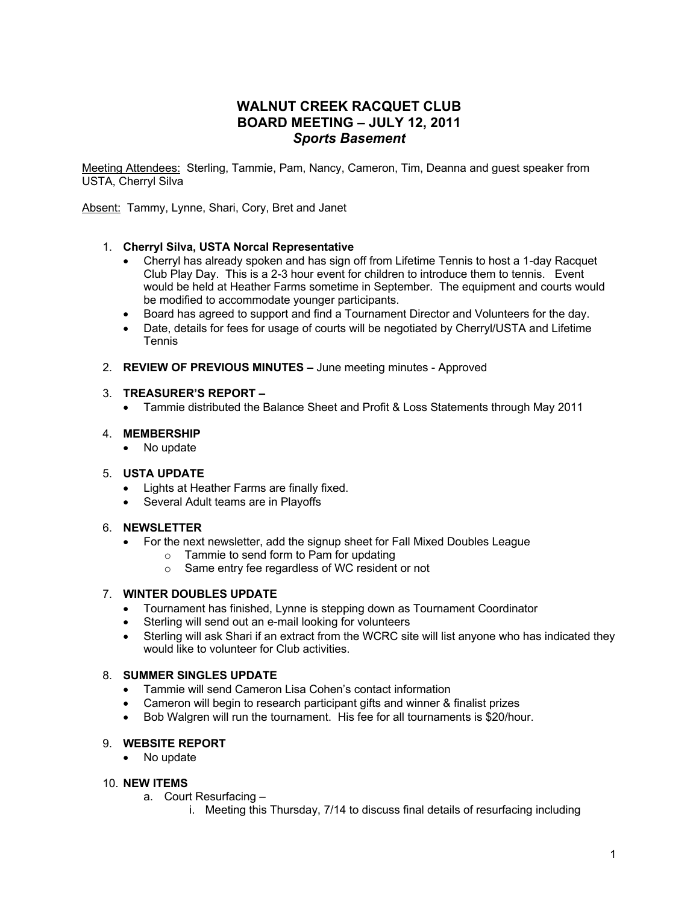# **WALNUT CREEK RACQUET CLUB BOARD MEETING – JULY 12, 2011** *Sports Basement*

Meeting Attendees: Sterling, Tammie, Pam, Nancy, Cameron, Tim, Deanna and guest speaker from USTA, Cherryl Silva

Absent: Tammy, Lynne, Shari, Cory, Bret and Janet

# 1. **Cherryl Silva, USTA Norcal Representative**

- Cherryl has already spoken and has sign off from Lifetime Tennis to host a 1-day Racquet Club Play Day. This is a 2-3 hour event for children to introduce them to tennis. Event would be held at Heather Farms sometime in September. The equipment and courts would be modified to accommodate younger participants.
- Board has agreed to support and find a Tournament Director and Volunteers for the day.
- Date, details for fees for usage of courts will be negotiated by Cherryl/USTA and Lifetime **Tennis**
- 2. **REVIEW OF PREVIOUS MINUTES –** June meeting minutes Approved

#### 3. **TREASURER'S REPORT –**

• Tammie distributed the Balance Sheet and Profit & Loss Statements through May 2011

## 4. **MEMBERSHIP**

• No update

#### 5. **USTA UPDATE**

- Lights at Heather Farms are finally fixed.
- Several Adult teams are in Playoffs

# 6. **NEWSLETTER**

- For the next newsletter, add the signup sheet for Fall Mixed Doubles League
	- o Tammie to send form to Pam for updating
	- o Same entry fee regardless of WC resident or not

# 7. **WINTER DOUBLES UPDATE**

- Tournament has finished, Lynne is stepping down as Tournament Coordinator
- Sterling will send out an e-mail looking for volunteers
- Sterling will ask Shari if an extract from the WCRC site will list anyone who has indicated they would like to volunteer for Club activities.

#### 8. **SUMMER SINGLES UPDATE**

- Tammie will send Cameron Lisa Cohen's contact information
- Cameron will begin to research participant gifts and winner & finalist prizes
- Bob Walgren will run the tournament. His fee for all tournaments is \$20/hour.

# 9. **WEBSITE REPORT**

• No update

# 10. **NEW ITEMS**

- a. Court Resurfacing
	- i. Meeting this Thursday, 7/14 to discuss final details of resurfacing including